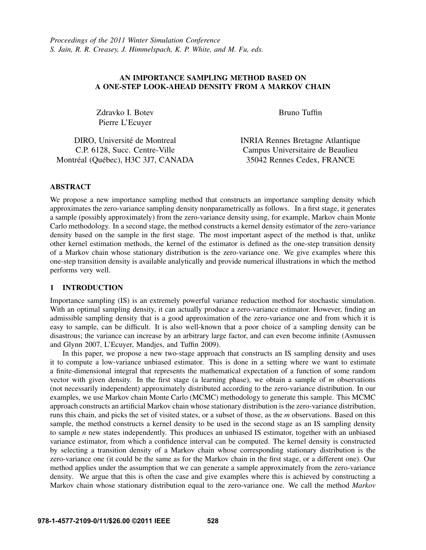# AN IMPORTANCE SAMPLING METHOD BASED ON A ONE-STEP LOOK-AHEAD DENSITY FROM A MARKOV CHAIN

Zdravko I. Botev Pierre L'Ecuyer

Bruno Tuffin

| DIRO, Université de Montreal       | <b>INRIA Rennes Bretagne Atlantique</b> |
|------------------------------------|-----------------------------------------|
| C.P. 6128, Succ. Centre-Ville      | Campus Universitaire de Beaulieu        |
| Montréal (Québec), H3C 3J7, CANADA | 35042 Rennes Cedex, FRANCE              |

## ABSTRACT

We propose a new importance sampling method that constructs an importance sampling density which approximates the zero-variance sampling density nonparametrically as follows. In a first stage, it generates a sample (possibly approximately) from the zero-variance density using, for example, Markov chain Monte Carlo methodology. In a second stage, the method constructs a kernel density estimator of the zero-variance density based on the sample in the first stage. The most important aspect of the method is that, unlike other kernel estimation methods, the kernel of the estimator is defined as the one-step transition density of a Markov chain whose stationary distribution is the zero-variance one. We give examples where this one-step transition density is available analytically and provide numerical illustrations in which the method performs very well.

### 1 INTRODUCTION

Importance sampling (IS) is an extremely powerful variance reduction method for stochastic simulation. With an optimal sampling density, it can actually produce a zero-variance estimator. However, finding an admissible sampling density that is a good approximation of the zero-variance one and from which it is easy to sample, can be difficult. It is also well-known that a poor choice of a sampling density can be disastrous; the variance can increase by an arbitrary large factor, and can even become infinite (Asmussen and Glynn 2007, L'Ecuyer, Mandjes, and Tuffin 2009).

In this paper, we propose a new two-stage approach that constructs an IS sampling density and uses it to compute a low-variance unbiased estimator. This is done in a setting where we want to estimate a finite-dimensional integral that represents the mathematical expectation of a function of some random vector with given density. In the first stage (a learning phase), we obtain a sample of *m* observations (not necessarily independent) approximately distributed according to the zero-variance distribution. In our examples, we use Markov chain Monte Carlo (MCMC) methodology to generate this sample. This MCMC approach constructs an artificial Markov chain whose stationary distribution is the zero-variance distribution, runs this chain, and picks the set of visited states, or a subset of those, as the *m* observations. Based on this sample, the method constructs a kernel density to be used in the second stage as an IS sampling density to sample *n* new states independently. This produces an unbiased IS estimator, together with an unbiased variance estimator, from which a confidence interval can be computed. The kernel density is constructed by selecting a transition density of a Markov chain whose corresponding stationary distribution is the zero-variance one (it could be the same as for the Markov chain in the first stage, or a different one). Our method applies under the assumption that we can generate a sample approximately from the zero-variance density. We argue that this is often the case and give examples where this is achieved by constructing a Markov chain whose stationary distribution equal to the zero-variance one. We call the method *Markov*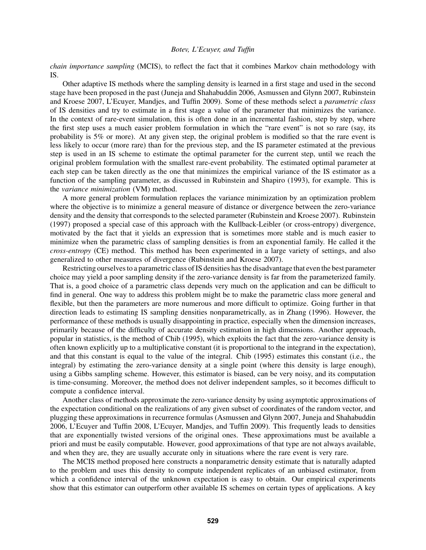*chain importance sampling* (MCIS), to reflect the fact that it combines Markov chain methodology with IS.

Other adaptive IS methods where the sampling density is learned in a first stage and used in the second stage have been proposed in the past (Juneja and Shahabuddin 2006, Asmussen and Glynn 2007, Rubinstein and Kroese 2007, L'Ecuyer, Mandjes, and Tuffin 2009). Some of these methods select a *parametric class* of IS densities and try to estimate in a first stage a value of the parameter that minimizes the variance. In the context of rare-event simulation, this is often done in an incremental fashion, step by step, where the first step uses a much easier problem formulation in which the "rare event" is not so rare (say, its probability is 5% or more). At any given step, the original problem is modified so that the rare event is less likely to occur (more rare) than for the previous step, and the IS parameter estimated at the previous step is used in an IS scheme to estimate the optimal parameter for the current step, until we reach the original problem formulation with the smallest rare-event probability. The estimated optimal parameter at each step can be taken directly as the one that minimizes the empirical variance of the IS estimator as a function of the sampling parameter, as discussed in Rubinstein and Shapiro (1993), for example. This is the *variance minimization* (VM) method.

A more general problem formulation replaces the variance minimization by an optimization problem where the objective is to minimize a general measure of distance or divergence between the zero-variance density and the density that corresponds to the selected parameter (Rubinstein and Kroese 2007). Rubinstein (1997) proposed a special case of this approach with the Kullback-Leibler (or cross-entropy) divergence, motivated by the fact that it yields an expression that is sometimes more stable and is much easier to minimize when the parametric class of sampling densities is from an exponential family. He called it the *cross-entropy* (CE) method. This method has been experimented in a large variety of settings, and also generalized to other measures of divergence (Rubinstein and Kroese 2007).

Restricting ourselves to a parametric class of IS densities has the disadvantage that even the best parameter choice may yield a poor sampling density if the zero-variance density is far from the parameterized family. That is, a good choice of a parametric class depends very much on the application and can be difficult to find in general. One way to address this problem might be to make the parametric class more general and flexible, but then the parameters are more numerous and more difficult to optimize. Going further in that direction leads to estimating IS sampling densities nonparametrically, as in Zhang (1996). However, the performance of these methods is usually disappointing in practice, especially when the dimension increases, primarily because of the difficulty of accurate density estimation in high dimensions. Another approach, popular in statistics, is the method of Chib (1995), which exploits the fact that the zero-variance density is often known explicitly up to a multiplicative constant (it is proportional to the integrand in the expectation), and that this constant is equal to the value of the integral. Chib (1995) estimates this constant (i.e., the integral) by estimating the zero-variance density at a single point (where this density is large enough), using a Gibbs sampling scheme. However, this estimator is biased, can be very noisy, and its computation is time-consuming. Moreover, the method does not deliver independent samples, so it becomes difficult to compute a confidence interval.

Another class of methods approximate the zero-variance density by using asymptotic approximations of the expectation conditional on the realizations of any given subset of coordinates of the random vector, and plugging these approximations in recurrence formulas (Asmussen and Glynn 2007, Juneja and Shahabuddin 2006, L'Ecuyer and Tuffin 2008, L'Ecuyer, Mandjes, and Tuffin 2009). This frequently leads to densities that are exponentially twisted versions of the original ones. These approximations must be available a priori and must be easily computable. However, good approximations of that type are not always available, and when they are, they are usually accurate only in situations where the rare event is very rare.

The MCIS method proposed here constructs a nonparametric density estimate that is naturally adapted to the problem and uses this density to compute independent replicates of an unbiased estimator, from which a confidence interval of the unknown expectation is easy to obtain. Our empirical experiments show that this estimator can outperform other available IS schemes on certain types of applications. A key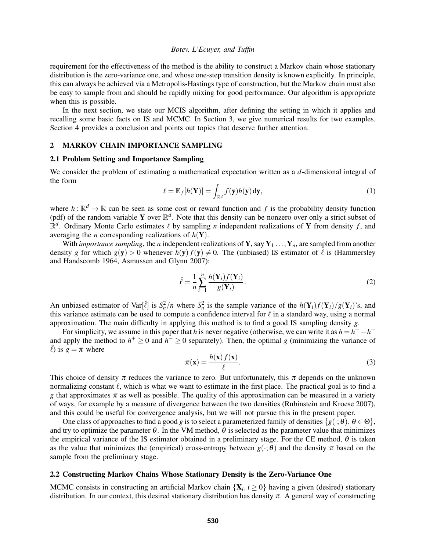requirement for the effectiveness of the method is the ability to construct a Markov chain whose stationary distribution is the zero-variance one, and whose one-step transition density is known explicitly. In principle, this can always be achieved via a Metropolis-Hastings type of construction, but the Markov chain must also be easy to sample from and should be rapidly mixing for good performance. Our algorithm is appropriate when this is possible.

In the next section, we state our MCIS algorithm, after defining the setting in which it applies and recalling some basic facts on IS and MCMC. In Section 3, we give numerical results for two examples. Section 4 provides a conclusion and points out topics that deserve further attention.

## 2 MARKOV CHAIN IMPORTANCE SAMPLING

#### 2.1 Problem Setting and Importance Sampling

We consider the problem of estimating a mathematical expectation written as a *d*-dimensional integral of the form

$$
\ell = \mathbb{E}_f[h(\mathbf{Y})] = \int_{\mathbb{R}^d} f(\mathbf{y}) h(\mathbf{y}) \, \mathrm{d}\mathbf{y},\tag{1}
$$

where  $h : \mathbb{R}^d \to \mathbb{R}$  can be seen as some cost or reward function and f is the probability density function (pdf) of the random variable Y over  $\mathbb{R}^d$ . Note that this density can be nonzero over only a strict subset of  $\mathbb{R}^d$ . Ordinary Monte Carlo estimates  $\ell$  by sampling *n* independent realizations of Y from density *f*, and averaging the *n* corresponding realizations of  $h(Y)$ .

With *importance sampling*, the *n* independent realizations of **Y**, say  $Y_1 \ldots, Y_n$ , are sampled from another density *g* for which  $g(y) > 0$  whenever  $h(y) f(y) \neq 0$ . The (unbiased) IS estimator of  $\ell$  is (Hammersley and Handscomb 1964, Asmussen and Glynn 2007):

$$
\hat{\ell} = \frac{1}{n} \sum_{i=1}^{n} \frac{h(\mathbf{Y}_i) f(\mathbf{Y}_i)}{g(\mathbf{Y}_i)}.
$$
\n(2)

An unbiased estimator of Var $[\hat{\ell}]$  is  $S_n^2/n$  where  $S_n^2$  is the sample variance of the  $h(Y_i)f(Y_i)/g(Y_i)$ 's, and this variance estimate can be used to compute a confidence interval for  $\ell$  in a standard way, using a normal approximation. The main difficulty in applying this method is to find a good IS sampling density *g*.

For simplicity, we assume in this paper that *h* is never negative (otherwise, we can write it as  $h = h^+ - h^$ and apply the method to  $h^+ \geq 0$  and  $h^- \geq 0$  separately). Then, the optimal *g* (minimizing the variance of  $\hat{\ell}$ ) is  $g = \pi$  where

$$
\pi(\mathbf{x}) = \frac{h(\mathbf{x}) f(\mathbf{x})}{\ell}.
$$
\n(3)

This choice of density  $\pi$  reduces the variance to zero. But unfortunately, this  $\pi$  depends on the unknown normalizing constant  $\ell$ , which is what we want to estimate in the first place. The practical goal is to find a *g* that approximates  $\pi$  as well as possible. The quality of this approximation can be measured in a variety of ways, for example by a measure of divergence between the two densities (Rubinstein and Kroese 2007), and this could be useful for convergence analysis, but we will not pursue this in the present paper.

One class of approaches to find a good *g* is to select a parameterized family of densities  $\{g(\cdot; \theta), \theta \in \Theta\}$ , and try to optimize the parameter  $\theta$ . In the VM method,  $\theta$  is selected as the parameter value that minimizes the empirical variance of the IS estimator obtained in a preliminary stage. For the CE method,  $\theta$  is taken as the value that minimizes the (empirical) cross-entropy between  $g(\cdot;\theta)$  and the density  $\pi$  based on the sample from the preliminary stage.

#### 2.2 Constructing Markov Chains Whose Stationary Density is the Zero-Variance One

MCMC consists in constructing an artificial Markov chain  $\{X_i, i \geq 0\}$  having a given (desired) stationary distribution. In our context, this desired stationary distribution has density  $\pi$ . A general way of constructing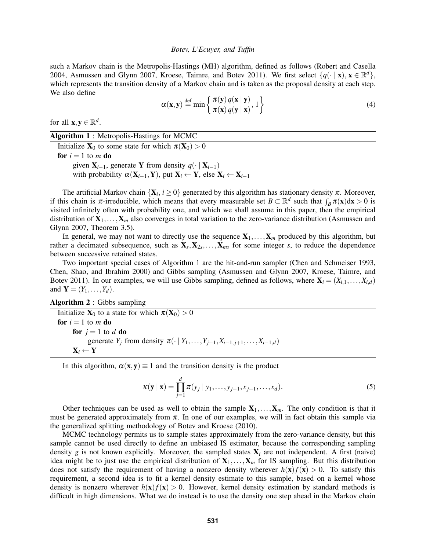such a Markov chain is the Metropolis-Hastings (MH) algorithm, defined as follows (Robert and Casella 2004, Asmussen and Glynn 2007, Kroese, Taimre, and Botev 2011). We first select  $\{q(\cdot | \mathbf{x}), \mathbf{x} \in \mathbb{R}^d\}$ , which represents the transition density of a Markov chain and is taken as the proposal density at each step. We also define

$$
\alpha(\mathbf{x}, \mathbf{y}) \stackrel{\text{def}}{=} \min \left\{ \frac{\pi(\mathbf{y}) q(\mathbf{x} \mid \mathbf{y})}{\pi(\mathbf{x}) q(\mathbf{y} \mid \mathbf{x})}, 1 \right\} \tag{4}
$$

for all  $\mathbf{x}, \mathbf{y} \in \mathbb{R}^d$ .

Algorithm 1 : Metropolis-Hastings for MCMC Initialize  $X_0$  to some state for which  $\pi(X_0) > 0$ for  $i = 1$  to *m* do given  $X_{i-1}$ , generate Y from density  $q(\cdot | X_{i-1})$ with probability  $\alpha(\mathbf{X}_{i-1}, \mathbf{Y})$ , put  $\mathbf{X}_i \leftarrow \mathbf{Y}$ , else  $\mathbf{X}_i \leftarrow \mathbf{X}_{i-1}$ 

The artificial Markov chain  $\{X_i, i \geq 0\}$  generated by this algorithm has stationary density  $\pi$ . Moreover, if this chain is  $\pi$ -irreducible, which means that every measurable set  $B \subset \mathbb{R}^d$  such that  $\int_B \pi(x) dx > 0$  is visited infinitely often with probability one, and which we shall assume in this paper, then the empirical distribution of  $X_1, \ldots, X_m$  also converges in total variation to the zero-variance distribution (Asmussen and Glynn 2007, Theorem 3.5).

In general, we may not want to directly use the sequence  $X_1, \ldots, X_m$  produced by this algorithm, but rather a decimated subsequence, such as  $X_s, X_{2s}, \ldots, X_{ms}$  for some integer *s*, to reduce the dependence between successive retained states.

Two important special cases of Algorithm 1 are the hit-and-run sampler (Chen and Schmeiser 1993, Chen, Shao, and Ibrahim 2000) and Gibbs sampling (Asmussen and Glynn 2007, Kroese, Taimre, and Botev 2011). In our examples, we will use Gibbs sampling, defined as follows, where  $X_i = (X_{i,1},...,X_{i,d})$ and  $Y = (Y_1, ..., Y_d)$ .

Algorithm 2 : Gibbs sampling

Initialize  $X_0$  to a state for which  $\pi(X_0) > 0$ for  $i = 1$  to *m* do for  $j = 1$  to  $d$  do generate *Y<sub>j</sub>* from density  $\pi$ (· | *Y*<sub>1</sub>,...,*Y*<sub>*j*−1</sub>,*X*<sub>*i*−1,*j*+1</sub>,...,*X*<sub>*i*−1,*d*</sub>)  $X_i \leftarrow Y$ 

In this algorithm,  $\alpha(x, y) \equiv 1$  and the transition density is the product

$$
\kappa(\mathbf{y} \mid \mathbf{x}) = \prod_{j=1}^{d} \pi(y_j \mid y_1, \dots, y_{j-1}, x_{j+1}, \dots, x_d).
$$
 (5)

Other techniques can be used as well to obtain the sample  $X_1, \ldots, X_m$ . The only condition is that it must be generated approximately from  $\pi$ . In one of our examples, we will in fact obtain this sample via the generalized splitting methodology of Botev and Kroese (2010).

MCMC technology permits us to sample states approximately from the zero-variance density, but this sample cannot be used directly to define an unbiased IS estimator, because the corresponding sampling density  $g$  is not known explicitly. Moreover, the sampled states  $X_i$  are not independent. A first (naive) idea might be to just use the empirical distribution of  $X_1, \ldots, X_m$  for IS sampling. But this distribution does not satisfy the requirement of having a nonzero density wherever  $h(x)f(x) > 0$ . To satisfy this requirement, a second idea is to fit a kernel density estimate to this sample, based on a kernel whose density is nonzero wherever  $h(x) f(x) > 0$ . However, kernel density estimation by standard methods is difficult in high dimensions. What we do instead is to use the density one step ahead in the Markov chain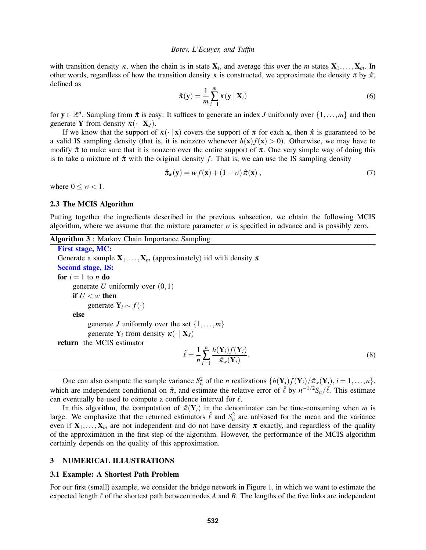with transition density  $\kappa$ , when the chain is in state  $X_i$ , and average this over the *m* states  $X_1, \ldots, X_m$ . In other words, regardless of how the transition density  $\kappa$  is constructed, we approximate the density  $\pi$  by  $\hat{\pi}$ , defined as

$$
\hat{\pi}(\mathbf{y}) = \frac{1}{m} \sum_{i=1}^{m} \kappa(\mathbf{y} \mid \mathbf{X}_i)
$$
\n(6)

for  $y \in \mathbb{R}^d$ . Sampling from  $\hat{\pi}$  is easy: It suffices to generate an index *J* uniformly over  $\{1,\ldots,m\}$  and then generate **Y** from density  $\kappa(\cdot | \mathbf{X}_I)$ .

If we know that the support of  $\kappa(\cdot | x)$  covers the support of  $\pi$  for each x, then  $\hat{\pi}$  is guaranteed to be a valid IS sampling density (that is, it is nonzero whenever  $h(x) f(x) > 0$ ). Otherwise, we may have to modify  $\hat{\pi}$  to make sure that it is nonzero over the entire support of  $\pi$ . One very simple way of doing this is to take a mixture of  $\hat{\pi}$  with the original density f. That is, we can use the IS sampling density

$$
\hat{\boldsymbol{\pi}}_w(\mathbf{y}) = w f(\mathbf{x}) + (1 - w) \hat{\boldsymbol{\pi}}(\mathbf{x}), \qquad (7)
$$

where  $0 \leq w < 1$ .

#### 2.3 The MCIS Algorithm

Putting together the ingredients described in the previous subsection, we obtain the following MCIS algorithm, where we assume that the mixture parameter *w* is specified in advance and is possibly zero.

| Algorithm 3 : Markov Chain Importance Sampling |  |  |  |  |  |
|------------------------------------------------|--|--|--|--|--|
|------------------------------------------------|--|--|--|--|--|

```
First stage, MC:
Generate a sample X_1, \ldots, X_m (approximately) iid with density \piSecond stage, IS:
for i = 1 to n do
     generate U uniformly over (0,1)if U < w then
           generate Y_i \sim f(\cdot)else
           generate J uniformly over the set \{1, \ldots, m\}generate Y_i from density \kappa(\cdot | X_j)return the MCIS estimator
                                               \hat{\ell} = \frac{1}{\tau}n
                                                       n
                                                     \sum_{i=1}h(\mathbf{Y}_i)f(\mathbf{Y}_i)\hat{\pi}_w(\mathbf{Y}_i). (8)
```
One can also compute the sample variance  $S_n^2$  of the *n* realizations  $\{h(\mathbf{Y}_i)f(\mathbf{Y}_i)/\hat{\pi}_w(\mathbf{Y}_i), i = 1,\ldots,n\}$ , which are independent conditional on  $\hat{\pi}$ , and estimate the relative error of  $\hat{\ell}$  by  $n^{-1/2}S_n/\hat{\ell}$ . This estimate can eventually be used to compute a confidence interval for  $\ell$ .

In this algorithm, the computation of  $\hat{\pi}(Y_i)$  in the denominator can be time-consuming when *m* is large. We emphasize that the returned estimators  $\hat{\ell}$  and  $S_n^2$  are unbiased for the mean and the variance even if  $X_1, \ldots, X_m$  are not independent and do not have density  $\pi$  exactly, and regardless of the quality of the approximation in the first step of the algorithm. However, the performance of the MCIS algorithm certainly depends on the quality of this approximation.

### 3 NUMERICAL ILLUSTRATIONS

#### 3.1 Example: A Shortest Path Problem

For our first (small) example, we consider the bridge network in Figure 1, in which we want to estimate the expected length  $\ell$  of the shortest path between nodes *A* and *B*. The lengths of the five links are independent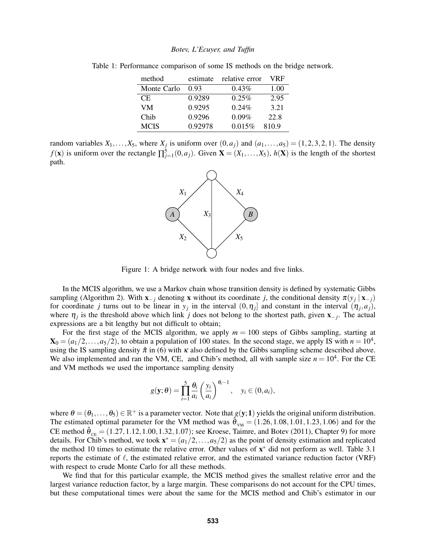| method      | estimate | relative error | VRF   |
|-------------|----------|----------------|-------|
| Monte Carlo | 0.93     | $0.43\%$       | 1.00  |
| CE.         | 0.9289   | $0.25\%$       | 2.95  |
| VM          | 0.9295   | $0.24\%$       | 3.21  |
| Chib        | 0.9296   | $0.09\%$       | 22.8  |
| <b>MCIS</b> | 0.92978  | 0.015%         | 810.9 |

Table 1: Performance comparison of some IS methods on the bridge network.

random variables  $X_1, \ldots, X_5$ , where  $X_j$  is uniform over  $(0, a_j)$  and  $(a_1, \ldots, a_5) = (1, 2, 3, 2, 1)$ . The density *f*(**x**) is uniform over the rectangle  $\prod_{j=1}^{5} (0, a_j)$ . Given **X** = (*X*<sub>1</sub>, ...,*X*<sub>5</sub>), *h*(**X**) is the length of the shortest path.



Figure 1: A bridge network with four nodes and five links.

In the MCIS algorithm, we use a Markov chain whose transition density is defined by systematic Gibbs sampling (Algorithm 2). With  $\mathbf{x}_{-j}$  denoting x without its coordinate *j*, the conditional density  $\pi(y_j | \mathbf{x}_{-j})$ for coordinate *j* turns out to be linear in  $y_j$  in the interval  $(0, \eta_j]$  and constant in the interval  $(\eta_j, a_j)$ , where η*<sup>j</sup>* is the threshold above which link *j* does not belong to the shortest path, given x−*<sup>j</sup>* . The actual expressions are a bit lengthy but not difficult to obtain;

For the first stage of the MCIS algorithm, we apply  $m = 100$  steps of Gibbs sampling, starting at  $\mathbf{X}_0 = (a_1/2, \dots, a_5/2)$ , to obtain a population of 100 states. In the second stage, we apply IS with  $n = 10^4$ , using the IS sampling density  $\hat{\pi}$  in (6) with  $\kappa$  also defined by the Gibbs sampling scheme described above. We also implemented and ran the VM, CE, and Chib's method, all with sample size  $n = 10^4$ . For the CE and VM methods we used the importance sampling density

$$
g(\mathbf{y};\boldsymbol{\theta}) = \prod_{i=1}^{5} \frac{\theta_i}{a_i} \left(\frac{y_i}{a_i}\right)^{\theta_i - 1}, \quad y_i \in (0, a_i),
$$

where  $\theta = (\theta_1, \dots, \theta_5) \in \mathbb{R}^+$  is a parameter vector. Note that  $g(y; 1)$  yields the original uniform distribution. The estimated optimal parameter for the VM method was  $\hat{\theta}_{VM} = (1.26, 1.08, 1.01, 1.23, 1.06)$  and for the CE method  $\hat{\theta}_{CE} = (1.27, 1.12, 1.00, 1.32, 1.07)$ ; see Kroese, Taimre, and Botev (2011), Chapter 9) for more details. For Chib's method, we took  $\mathbf{x}^* = (a_1/2, \dots, a_5/2)$  as the point of density estimation and replicated the method 10 times to estimate the relative error. Other values of  $x^*$  did not perform as well. Table 3.1 reports the estimate of  $\ell$ , the estimated relative error, and the estimated variance reduction factor (VRF) with respect to crude Monte Carlo for all these methods.

We find that for this particular example, the MCIS method gives the smallest relative error and the largest variance reduction factor, by a large margin. These comparisons do not account for the CPU times, but these computational times were about the same for the MCIS method and Chib's estimator in our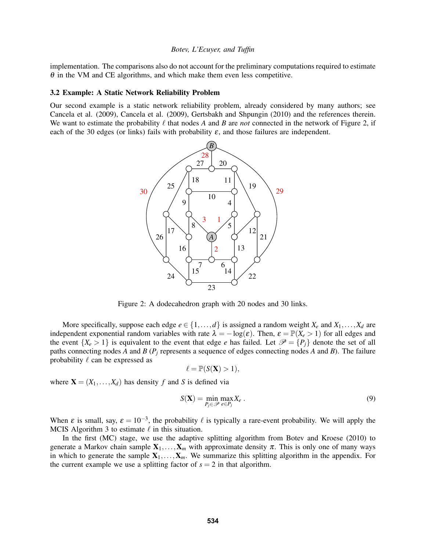implementation. The comparisons also do not account for the preliminary computations required to estimate  $\theta$  in the VM and CE algorithms, and which make them even less competitive.

#### 3.2 Example: A Static Network Reliability Problem

Our second example is a static network reliability problem, already considered by many authors; see Cancela et al. (2009), Cancela et al. (2009), Gertsbakh and Shpungin (2010) and the references therein. We want to estimate the probability  $\ell$  that nodes *A* and *B* are *not* connected in the network of Figure 2, if each of the 30 edges (or links) fails with probability  $\varepsilon$ , and those failures are independent.



Figure 2: A dodecahedron graph with 20 nodes and 30 links.

More specifically, suppose each edge  $e \in \{1, \ldots, d\}$  is assigned a random weight  $X_e$  and  $X_1, \ldots, X_d$  are independent exponential random variables with rate  $\lambda = -\log(\varepsilon)$ . Then,  $\varepsilon = \mathbb{P}(X_e > 1)$  for all edges and the event  $\{X_e > 1\}$  is equivalent to the event that edge *e* has failed. Let  $\mathcal{P} = \{P_i\}$  denote the set of all paths connecting nodes *A* and *B* (*P<sup>j</sup>* represents a sequence of edges connecting nodes *A* and *B*). The failure probability  $\ell$  can be expressed as

$$
\ell = \mathbb{P}(S(\mathbf{X}) > 1),
$$

where  $X = (X_1, \ldots, X_d)$  has density *f* and *S* is defined via

$$
S(\mathbf{X}) = \min_{P_j \in \mathcal{P}} \max_{e \in P_j} X_e \,. \tag{9}
$$

When  $\varepsilon$  is small, say,  $\varepsilon = 10^{-3}$ , the probability  $\ell$  is typically a rare-event probability. We will apply the MCIS Algorithm 3 to estimate  $\ell$  in this situation.

In the first (MC) stage, we use the adaptive splitting algorithm from Botev and Kroese (2010) to generate a Markov chain sample  $X_1, \ldots, X_m$  with approximate density  $\pi$ . This is only one of many ways in which to generate the sample  $X_1, \ldots, X_m$ . We summarize this splitting algorithm in the appendix. For the current example we use a splitting factor of  $s = 2$  in that algorithm.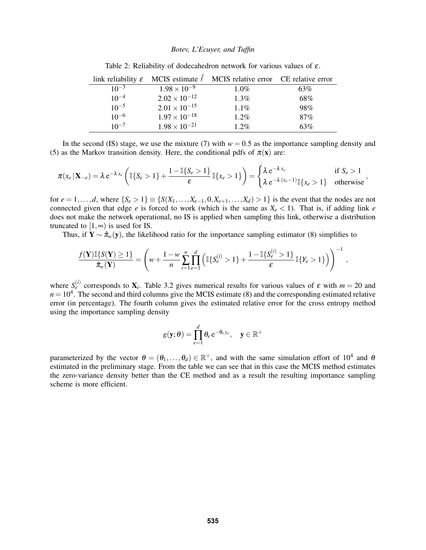|           |                        | link reliability $\varepsilon$ MCIS estimate $\hat{\ell}$ MCIS relative error CE relative error |     |
|-----------|------------------------|-------------------------------------------------------------------------------------------------|-----|
| $10^{-3}$ | $1.98 \times 10^{-9}$  | $1.0\%$                                                                                         | 63% |
| $10^{-4}$ | $2.02 \times 10^{-12}$ | $1.3\%$                                                                                         | 68% |
| $10^{-5}$ | $2.01 \times 10^{-15}$ | $1.1\%$                                                                                         | 98% |
| $10^{-6}$ | $1.97 \times 10^{-18}$ | $1.2\%$                                                                                         | 87% |
| $10^{-7}$ | $1.98 \times 10^{-21}$ | $1.2\%$                                                                                         | 63% |

Table 2: Reliability of dodecahedron network for various values of  $\varepsilon$ .

In the second (IS) stage, we use the mixture (7) with  $w = 0.5$  as the importance sampling density and (5) as the Markov transition density. Here, the conditional pdfs of  $\pi(\mathbf{x})$  are:

$$
\pi(x_e \mid \mathbf{X}_{-e}) = \lambda e^{-\lambda x_e} \left( \mathbb{I} \{ S_e > 1 \} + \frac{1 - \mathbb{I} \{ S_e > 1 \}}{\varepsilon} \mathbb{I} \{ x_e > 1 \} \right) = \begin{cases} \lambda e^{-\lambda x_e} & \text{if } S_e > 1 \\ \lambda e^{-\lambda (x_e - 1)} \mathbb{I} \{ x_e > 1 \} & \text{otherwise} \end{cases}
$$

for  $e = 1, ..., d$ , where  $\{S_e > 1\} \equiv \{S(X_1, ..., X_{e-1}, 0, X_{e+1}, ..., X_d) > 1\}$  is the event that the nodes are not connected given that edge *e* is forced to work (which is the same as  $X_e < 1$ ). That is, if adding link *e* does not make the network operational, no IS is applied when sampling this link, otherwise a distribution truncated to  $[1, \infty)$  is used for IS.

Thus, if  $\mathbf{Y} \sim \hat{\pi}_w(\mathbf{y})$ , the likelihood ratio for the importance sampling estimator (8) simplifies to

$$
\frac{f(\mathbf{Y})\mathbb{I}\{S(\mathbf{Y})\geq 1\}}{\hat{\pi}_{w}(\mathbf{Y})} = \left(w + \frac{1-w}{n}\sum_{i=1}^{n}\prod_{e=1}^{d}\left(\mathbb{I}\{S_{e}^{(i)} > 1\} + \frac{1-\mathbb{I}\{S_{e}^{(i)} > 1\}}{\varepsilon}\mathbb{I}\{Y_{e} > 1\}\right)\right)^{-1},
$$

where  $S_e^{(i)}$  corresponds to  $\mathbf{X}_i$ . Table 3.2 gives numerical results for various values of  $\varepsilon$  with  $m = 20$  and  $n = 10<sup>4</sup>$ . The second and third columns give the MCIS estimate (8) and the corresponding estimated relative error (in percentage). The fourth column gives the estimated relative error for the cross entropy method using the importance sampling density

$$
g(\mathbf{y};\boldsymbol{\theta}) = \prod_{e=1}^d \theta_e e^{-\theta_e y_e}, \quad \mathbf{y} \in \mathbb{R}^+
$$

parameterized by the vector  $\theta = (\theta_1, \dots, \theta_d) \in \mathbb{R}^+$ , and with the same simulation effort of  $10^4$  and  $\theta$ estimated in the preliminary stage. From the table we can see that in this case the MCIS method estimates the zero-variance density better than the CE method and as a result the resulting importance sampling scheme is more efficient.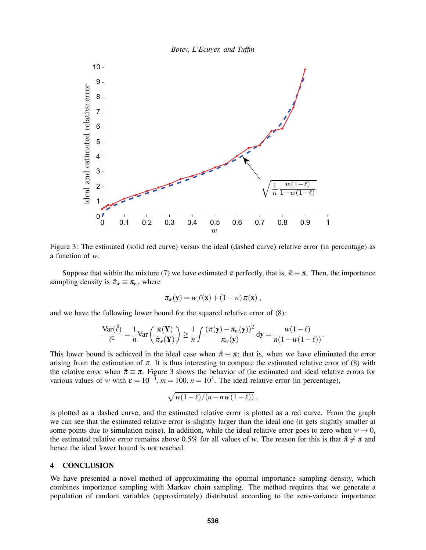



Figure 3: The estimated (solid red curve) versus the ideal (dashed curve) relative error (in percentage) as a function of *w*.

Suppose that within the mixture (7) we have estimated  $\pi$  perfectly, that is,  $\hat{\pi} \equiv \pi$ . Then, the importance sampling density is  $\hat{\pi}_w \equiv \pi_w$ , where

$$
\pi_w(\mathbf{y}) = w f(\mathbf{x}) + (1 - w) \pi(\mathbf{x}),
$$

and we have the following lower bound for the squared relative error of (8):

$$
\frac{\text{Var}(\hat{\ell})}{\ell^2} = \frac{1}{n} \text{Var}\left(\frac{\pi(\mathbf{Y})}{\hat{\pi}_w(\mathbf{Y})}\right) \ge \frac{1}{n} \int \frac{(\pi(\mathbf{y}) - \pi_w(\mathbf{y}))^2}{\pi_w(\mathbf{y})} d\mathbf{y} = \frac{w(1-\ell)}{n(1-w(1-\ell))}.
$$

This lower bound is achieved in the ideal case when  $\hat{\pi} \equiv \pi$ ; that is, when we have eliminated the error arising from the estimation of  $\pi$ . It is thus interesting to compare the estimated relative error of (8) with the relative error when  $\hat{\pi} \equiv \pi$ . Figure 3 shows the behavior of the estimated and ideal relative errors for various values of *w* with  $\varepsilon = 10^{-3}$ ,  $m = 100$ ,  $n = 10^3$ . The ideal relative error (in percentage),

$$
\sqrt{w(1-\ell)/(n-nw(1-\ell))},
$$

is plotted as a dashed curve, and the estimated relative error is plotted as a red curve. From the graph we can see that the estimated relative error is slightly larger than the ideal one (it gets slightly smaller at some points due to simulation noise). In addition, while the ideal relative error goes to zero when  $w \rightarrow 0$ , the estimated relative error remains above 0.5% for all values of *w*. The reason for this is that  $\hat{\pi} \neq \pi$  and hence the ideal lower bound is not reached.

## 4 CONCLUSION

We have presented a novel method of approximating the optimal importance sampling density, which combines importance sampling with Markov chain sampling. The method requires that we generate a population of random variables (approximately) distributed according to the zero-variance importance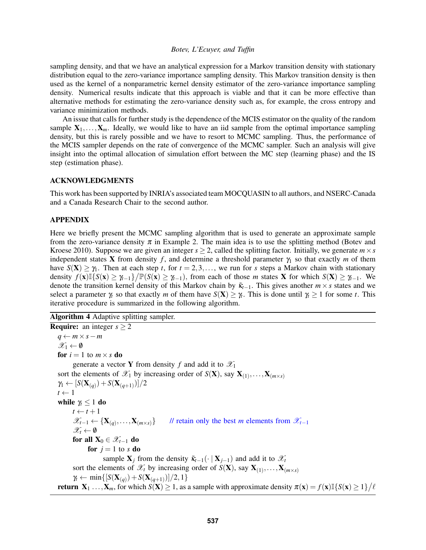sampling density, and that we have an analytical expression for a Markov transition density with stationary distribution equal to the zero-variance importance sampling density. This Markov transition density is then used as the kernel of a nonparametric kernel density estimator of the zero-variance importance sampling density. Numerical results indicate that this approach is viable and that it can be more effective than alternative methods for estimating the zero-variance density such as, for example, the cross entropy and variance minimization methods.

An issue that calls for further study is the dependence of the MCIS estimator on the quality of the random sample  $X_1, \ldots, X_m$ . Ideally, we would like to have an iid sample from the optimal importance sampling density, but this is rarely possible and we have to resort to MCMC sampling. Thus, the performance of the MCIS sampler depends on the rate of convergence of the MCMC sampler. Such an analysis will give insight into the optimal allocation of simulation effort between the MC step (learning phase) and the IS step (estimation phase).

#### ACKNOWLEDGMENTS

This work has been supported by INRIA's associated team MOCQUASIN to all authors, and NSERC-Canada and a Canada Research Chair to the second author.

### APPENDIX

Here we briefly present the MCMC sampling algorithm that is used to generate an approximate sample from the zero-variance density  $\pi$  in Example 2. The main idea is to use the splitting method (Botev and Kroese 2010). Suppose we are given an integer  $s \geq 2$ , called the splitting factor. Initially, we generate  $m \times s$ independent states **X** from density *f*, and determine a threshold parameter  $\gamma_1$  so that exactly *m* of them have  $S(X) \ge \gamma_1$ . Then at each step *t*, for  $t = 2, 3, \ldots$ , we run for *s* steps a Markov chain with stationary density  $f(\mathbf{x}) \mathbb{I} \{ S(\mathbf{x}) \ge \gamma_{t-1} \} / \mathbb{P}(S(\mathbf{x}) \ge \gamma_{t-1})$ , from each of those *m* states **X** for which  $S(\mathbf{X}) \ge \gamma_{t-1}$ . We denote the transition kernel density of this Markov chain by  $\tilde{\kappa}_{t-1}$ . This gives another  $m \times s$  states and we select a parameter  $\gamma_t$  so that exactly *m* of them have  $S(X) \geq \gamma_t$ . This is done until  $\gamma_t \geq 1$  for some *t*. This iterative procedure is summarized in the following algorithm.

Algorithm 4 Adaptive splitting sampler.

**Require:** an integer  $s > 2$ *q* ← *m*×*s*−*m*  $\mathscr{X}_1 \leftarrow \emptyset$ for  $i = 1$  to  $m \times s$  do generate a vector **Y** from density f and add it to  $\mathcal{X}_1$ sort the elements of  $\mathscr{X}_1$  by increasing order of  $S(\mathbf{X})$ , say  $\mathbf{X}_{(1)}, \ldots, \mathbf{X}_{(m \times s)}$  $\gamma_1 \leftarrow [S(\mathbf{X}_{(q)}) + S(\mathbf{X}_{(q+1)})]/2$  $t \leftarrow 1$ while  $\gamma_t \leq 1$  do  $t \leftarrow t + 1$  $\mathscr{X}_{t-1} \leftarrow {\mathbf{X}_{(q)}, \ldots, \mathbf{X}_{(m \times s)}}$  // retain only the best *m* elements from  $\mathscr{X}_{t-1}$  $\mathscr{X}_t \leftarrow \emptyset$ for all  $X_0 \in \mathscr{X}_{t-1}$  do for  $j = 1$  to *s* do sample  $X_i$  from the density  $\tilde{\kappa}_{t-1}(\cdot | X_{i-1})$  and add it to  $\mathscr{X}_t$ sort the elements of  $\mathscr{X}_t$  by increasing order of  $S(\mathbf{X})$ , say  $\mathbf{X}_{(1)}, \ldots, \mathbf{X}_{(m \times s)}$ *γ*<sub>t</sub> ← min{[*S*(**X**<sub>(*q*</sub>)</sub> + *S*(**X**<sub>(*q*+1)</sub>)]/2, 1} return  $X_1$  ...,  $X_m$ , for which  $S(X) \geq 1$ , as a sample with approximate density  $\pi(x) = f(x) \mathbb{I} \{ S(x) \geq 1 \} / \ell$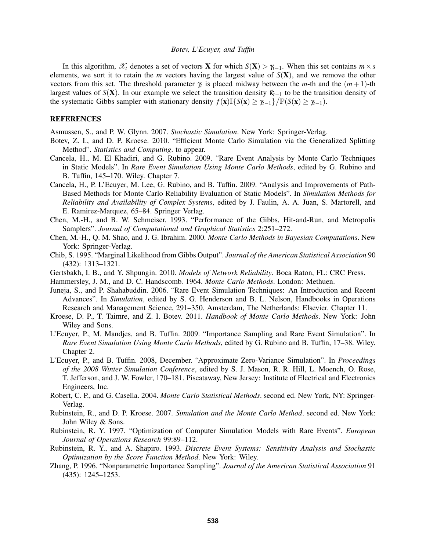In this algorithm,  $\mathscr{X}_t$  denotes a set of vectors **X** for which  $S(X) > \gamma_{t-1}$ . When this set contains  $m \times s$ elements, we sort it to retain the  $m$  vectors having the largest value of  $S(X)$ , and we remove the other vectors from this set. The threshold parameter  $\gamma_t$  is placed midway between the *m*-th and the  $(m+1)$ -th largest values of *S*(**X**). In our example we select the transition density κ<sup>γ</sup><sub>*k*−1</sub> to be the transition density of the systematic Gibbs sampler with stationary density  $f(\mathbf{x}) \mathbb{I}\{S(\mathbf{x}) \geq \gamma_{t-1}\}/\mathbb{P}(S(\mathbf{x}) \geq \gamma_{t-1})$ .

## **REFERENCES**

Asmussen, S., and P. W. Glynn. 2007. *Stochastic Simulation*. New York: Springer-Verlag.

- Botev, Z. I., and D. P. Kroese. 2010. "Efficient Monte Carlo Simulation via the Generalized Splitting Method". *Statistics and Computing*. to appear.
- Cancela, H., M. El Khadiri, and G. Rubino. 2009. "Rare Event Analysis by Monte Carlo Techniques in Static Models". In *Rare Event Simulation Using Monte Carlo Methods*, edited by G. Rubino and B. Tuffin, 145–170. Wiley. Chapter 7.
- Cancela, H., P. L'Ecuyer, M. Lee, G. Rubino, and B. Tuffin. 2009. "Analysis and Improvements of Path-Based Methods for Monte Carlo Reliability Evaluation of Static Models". In *Simulation Methods for Reliability and Availability of Complex Systems*, edited by J. Faulin, A. A. Juan, S. Martorell, and E. Ramirez-Marquez, 65–84. Springer Verlag.
- Chen, M.-H., and B. W. Schmeiser. 1993. "Performance of the Gibbs, Hit-and-Run, and Metropolis Samplers". *Journal of Computational and Graphical Statistics* 2:251–272.
- Chen, M.-H., Q. M. Shao, and J. G. Ibrahim. 2000. *Monte Carlo Methods in Bayesian Computations*. New York: Springer-Verlag.
- Chib, S. 1995. "Marginal Likelihood from Gibbs Output". *Journal of the American Statistical Association* 90 (432): 1313–1321.
- Gertsbakh, I. B., and Y. Shpungin. 2010. *Models of Network Reliability*. Boca Raton, FL: CRC Press.
- Hammersley, J. M., and D. C. Handscomb. 1964. *Monte Carlo Methods*. London: Methuen.
- Juneja, S., and P. Shahabuddin. 2006. "Rare Event Simulation Techniques: An Introduction and Recent Advances". In *Simulation*, edited by S. G. Henderson and B. L. Nelson, Handbooks in Operations Research and Management Science, 291–350. Amsterdam, The Netherlands: Elsevier. Chapter 11.
- Kroese, D. P., T. Taimre, and Z. I. Botev. 2011. *Handbook of Monte Carlo Methods*. New York: John Wiley and Sons.
- L'Ecuyer, P., M. Mandjes, and B. Tuffin. 2009. "Importance Sampling and Rare Event Simulation". In *Rare Event Simulation Using Monte Carlo Methods*, edited by G. Rubino and B. Tuffin, 17–38. Wiley. Chapter 2.
- L'Ecuyer, P., and B. Tuffin. 2008, December. "Approximate Zero-Variance Simulation". In *Proceedings of the 2008 Winter Simulation Conference*, edited by S. J. Mason, R. R. Hill, L. Moench, O. Rose, T. Jefferson, and J. W. Fowler, 170–181. Piscataway, New Jersey: Institute of Electrical and Electronics Engineers, Inc.
- Robert, C. P., and G. Casella. 2004. *Monte Carlo Statistical Methods*. second ed. New York, NY: Springer-Verlag.
- Rubinstein, R., and D. P. Kroese. 2007. *Simulation and the Monte Carlo Method*. second ed. New York: John Wiley & Sons.
- Rubinstein, R. Y. 1997. "Optimization of Computer Simulation Models with Rare Events". *European Journal of Operations Research* 99:89–112.
- Rubinstein, R. Y., and A. Shapiro. 1993. *Discrete Event Systems: Sensitivity Analysis and Stochastic Optimization by the Score Function Method*. New York: Wiley.
- Zhang, P. 1996. "Nonparametric Importance Sampling". *Journal of the American Statistical Association* 91 (435): 1245–1253.